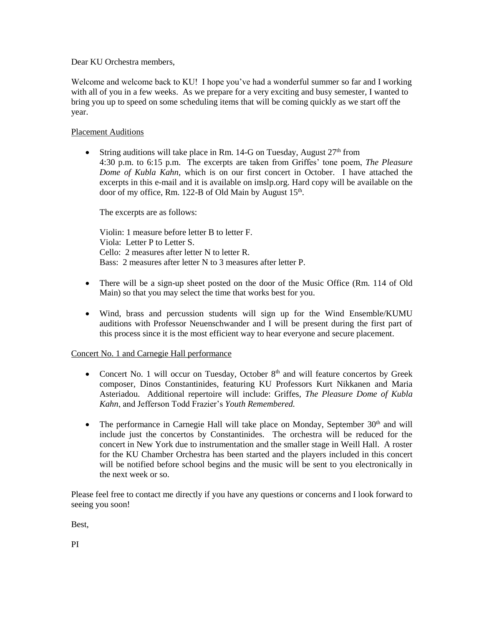Dear KU Orchestra members,

Welcome and welcome back to KU! I hope you've had a wonderful summer so far and I working with all of you in a few weeks. As we prepare for a very exciting and busy semester, I wanted to bring you up to speed on some scheduling items that will be coming quickly as we start off the year.

## Placement Auditions

• String auditions will take place in Rm. 14-G on Tuesday, August  $27<sup>th</sup>$  from 4:30 p.m. to 6:15 p.m. The excerpts are taken from Griffes' tone poem, *The Pleasure Dome of Kubla Kahn,* which is on our first concert in October. I have attached the excerpts in this e-mail and it is available on imslp.org. Hard copy will be available on the door of my office, Rm. 122-B of Old Main by August 15<sup>th</sup>.

The excerpts are as follows:

Violin: 1 measure before letter B to letter F. Viola: Letter P to Letter S. Cello: 2 measures after letter N to letter R. Bass: 2 measures after letter N to 3 measures after letter P.

- There will be a sign-up sheet posted on the door of the Music Office (Rm. 114 of Old Main) so that you may select the time that works best for you.
- Wind, brass and percussion students will sign up for the Wind Ensemble/KUMU auditions with Professor Neuenschwander and I will be present during the first part of this process since it is the most efficient way to hear everyone and secure placement.

## Concert No. 1 and Carnegie Hall performance

- Concert No. 1 will occur on Tuesday, October  $8<sup>th</sup>$  and will feature concertos by Greek composer, Dinos Constantinides, featuring KU Professors Kurt Nikkanen and Maria Asteriadou. Additional repertoire will include: Griffes, *The Pleasure Dome of Kubla Kahn*, and Jefferson Todd Frazier's *Youth Remembered.*
- The performance in Carnegie Hall will take place on Monday, September  $30<sup>th</sup>$  and will include just the concertos by Constantinides. The orchestra will be reduced for the concert in New York due to instrumentation and the smaller stage in Weill Hall. A roster for the KU Chamber Orchestra has been started and the players included in this concert will be notified before school begins and the music will be sent to you electronically in the next week or so.

Please feel free to contact me directly if you have any questions or concerns and I look forward to seeing you soon!

Best,

PI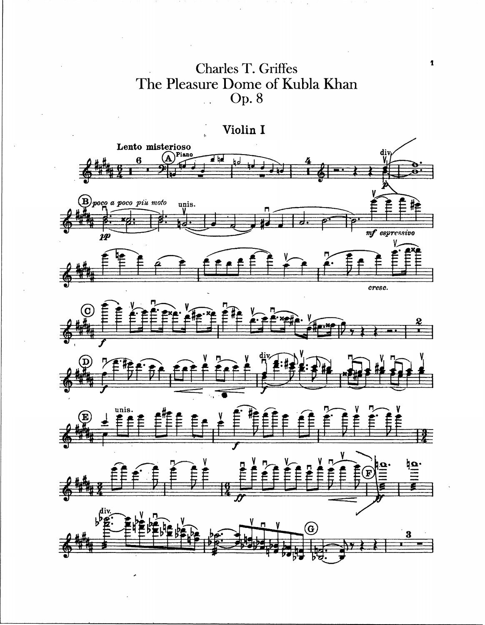**Charles T. Griffes** The Pleasure Dome of Kubla Khan<br>Op. 8



 $\pmb{\mathfrak{p}}$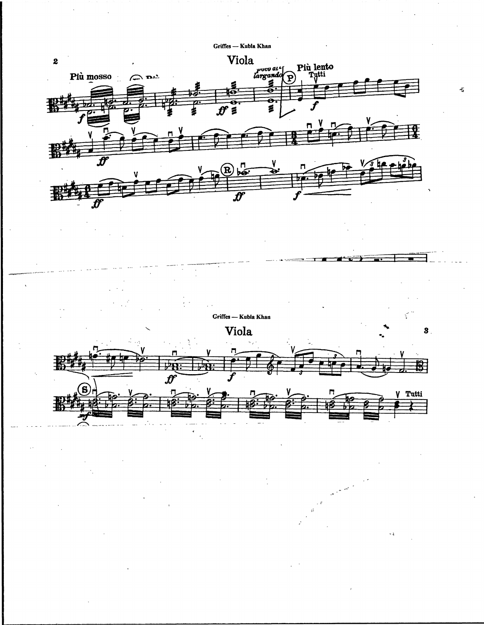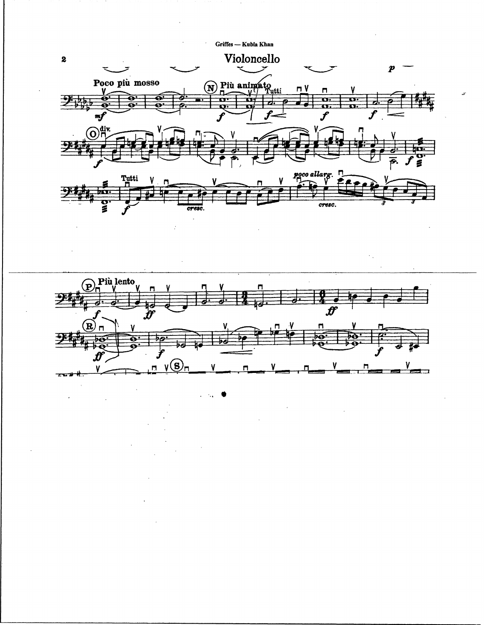